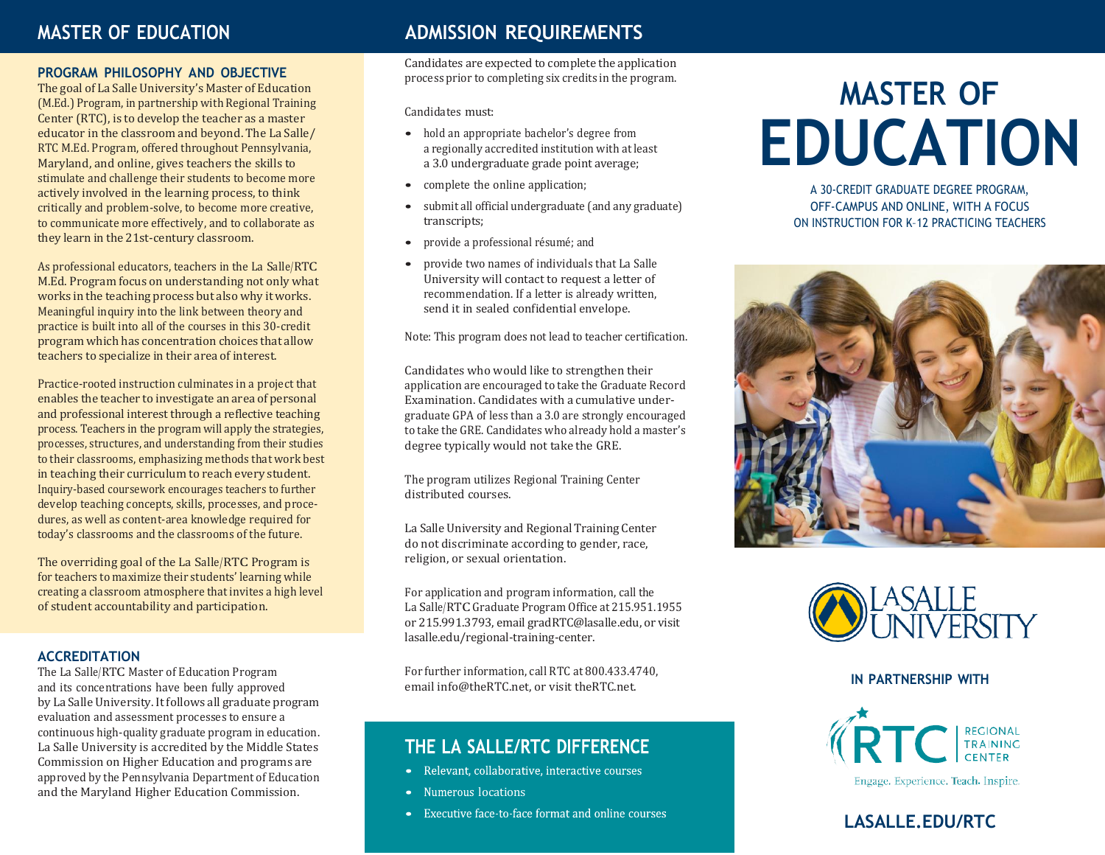### **MASTER OF EDUCATION**

### **PROGRAM PHILOSOPHY AND OBJECTIVE**

The goal of La Salle University's Master of Education (M.Ed.) Program, in partnership with Regional Training Center (RTC), is to develop the teacher as a master educator in the classroom and beyond. The La Salle/ RTC M.Ed. Program, offered throughout Pennsylvania, Maryland, and online, gives teachers the skills to stimulate and challenge their students to become more actively involved in the learning process, to think critically and problem-solve, to become more creative, to communicate more effectively, and to collaborate as they learn in the 21st-century classroom.

As professional educators, teachers in the La Salle/RTC M.Ed. Program focus on understanding not only what works in the teaching process but also why it works. Meaningful inquiry into the link between theory and practice is built into all of the courses in this 30-credit program which has concentration choices that allow teachers to specialize in their area of interest.

Practice-rooted instruction culminates in a project that enables the teacher to investigate an area of personal and professional interest through a reflective teaching process. Teachers in the program will apply the strategies, processes, structures, and understanding from their studies to their classrooms, emphasizing methods that work best in teaching their curriculum to reach every student. Inquiry-based coursework encourages teachers to further develop teaching concepts, skills, processes, and procedures, as well as content-area knowledge required for today's classrooms and the classrooms of the future.

The overriding goal of the La Salle/RTC Program is for teachers to maximize their students' learning while creating a classroom atmosphere that invites a high level of student accountability and participation.

### **ACCREDITATION**

The La Salle/RTC Master of Education Program and its concentrations have been fully approved by La Salle University. It follows all graduate program evaluation and assessment processes to ensure a continuous high-quality graduate program in education. La Salle University is accredited by the Middle States Commission on Higher Education and programs are approved by the Pennsylvania Department of Education and the Maryland Higher Education Commission.

### **ADMISSION REQUIREMENTS**

Candidates are expected to complete the application process prior to completing six credits in the program.

Candidates must:

- hold an appropriate bachelor's degree from a regionally accredited institution with at least a 3.0 undergraduate grade point average;
- complete the online application;
- submit all official undergraduate (and any graduate) transcripts;
- provide <sup>a</sup> professional résumé; and
- provide two names of individuals that La Salle University will contact to request a letter of recommendation. If a letter is already written, send it in sealed confidential envelope.

Note: This program does not lead to teacher certification.

Candidates who would like to strengthen their application are encouraged to take the Graduate Record Examination. Candidates with a cumulative undergraduate GPA of less than a 3.0 are strongly encouraged to take the GRE. Candidates who already hold a master's degree typically would not take the GRE.

The program utilizes Regional Training Center distributed courses.

La Salle University and Regional Training Center do not discriminate according to gender, race, religion, or sexual orientation.

For application and program information, call the La Salle/RTC Graduate Program Office at 215.951.1955 or 215.991.3793, email [gradRTC@lasalle.edu,](mailto:gradRTC@lasalle.edu) or visit lasalle.edu/regional-training-center.

For further information, call RTC at 800.433.4740, emai[l info@theRTC.net,](mailto:info@theRTC.net) or visit theRTC.net.

### THE LA SALLE/RTC DIFFERENCE

- Relevant, collaborative, interactive courses
- Numerous locations
- Executive face-to-face format and online courses

# **MASTER OF EDUCATION**

A 30-CREDIT GRADUATE DEGREE PROGRAM, OFF-CAMPUS AND ONLINE, WITH A FOCUS ON INSTRUCTION FOR K–12 PRACTICING TEACHERS





#### **IN PARTNERSHIP WITH**



### **LASALLE.EDU/RTC**